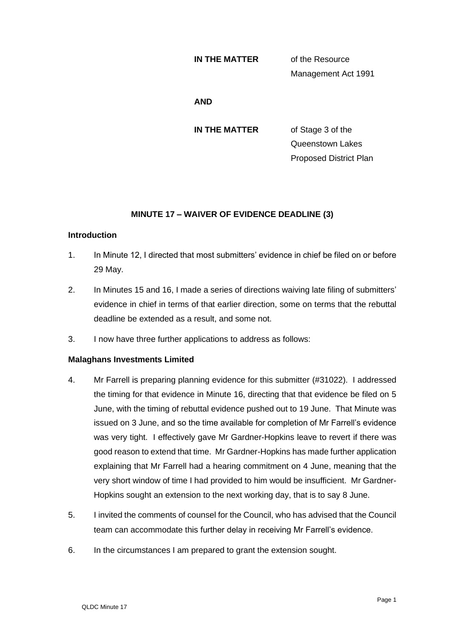#### **IN THE MATTER** of the Resource

Management Act 1991

#### **AND**

**IN THE MATTER** of Stage 3 of the

Queenstown Lakes Proposed District Plan

# **MINUTE 17 – WAIVER OF EVIDENCE DEADLINE (3)**

#### **Introduction**

- 1. In Minute 12, I directed that most submitters' evidence in chief be filed on or before 29 May.
- 2. In Minutes 15 and 16, I made a series of directions waiving late filing of submitters' evidence in chief in terms of that earlier direction, some on terms that the rebuttal deadline be extended as a result, and some not.
- 3. I now have three further applications to address as follows:

## **Malaghans Investments Limited**

- 4. Mr Farrell is preparing planning evidence for this submitter (#31022). I addressed the timing for that evidence in Minute 16, directing that that evidence be filed on 5 June, with the timing of rebuttal evidence pushed out to 19 June. That Minute was issued on 3 June, and so the time available for completion of Mr Farrell's evidence was very tight. I effectively gave Mr Gardner-Hopkins leave to revert if there was good reason to extend that time. Mr Gardner-Hopkins has made further application explaining that Mr Farrell had a hearing commitment on 4 June, meaning that the very short window of time I had provided to him would be insufficient. Mr Gardner-Hopkins sought an extension to the next working day, that is to say 8 June.
- 5. I invited the comments of counsel for the Council, who has advised that the Council team can accommodate this further delay in receiving Mr Farrell's evidence.
- 6. In the circumstances I am prepared to grant the extension sought.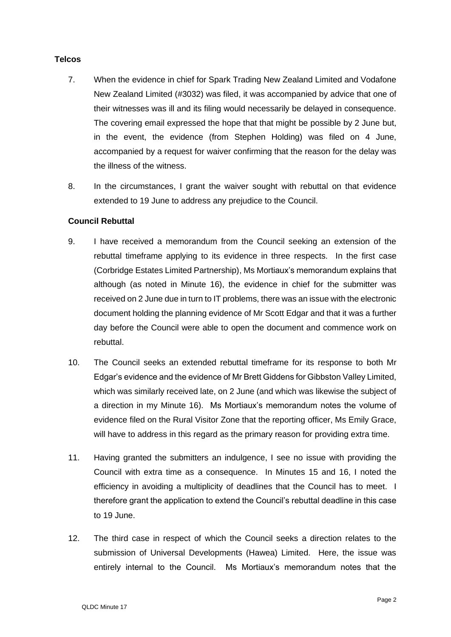### **Telcos**

- 7. When the evidence in chief for Spark Trading New Zealand Limited and Vodafone New Zealand Limited (#3032) was filed, it was accompanied by advice that one of their witnesses was ill and its filing would necessarily be delayed in consequence. The covering email expressed the hope that that might be possible by 2 June but, in the event, the evidence (from Stephen Holding) was filed on 4 June, accompanied by a request for waiver confirming that the reason for the delay was the illness of the witness.
- 8. In the circumstances, I grant the waiver sought with rebuttal on that evidence extended to 19 June to address any prejudice to the Council.

## **Council Rebuttal**

- 9. I have received a memorandum from the Council seeking an extension of the rebuttal timeframe applying to its evidence in three respects. In the first case (Corbridge Estates Limited Partnership), Ms Mortiaux's memorandum explains that although (as noted in Minute 16), the evidence in chief for the submitter was received on 2 June due in turn to IT problems, there was an issue with the electronic document holding the planning evidence of Mr Scott Edgar and that it was a further day before the Council were able to open the document and commence work on rebuttal.
- 10. The Council seeks an extended rebuttal timeframe for its response to both Mr Edgar's evidence and the evidence of Mr Brett Giddens for Gibbston Valley Limited, which was similarly received late, on 2 June (and which was likewise the subject of a direction in my Minute 16). Ms Mortiaux's memorandum notes the volume of evidence filed on the Rural Visitor Zone that the reporting officer, Ms Emily Grace, will have to address in this regard as the primary reason for providing extra time.
- 11. Having granted the submitters an indulgence, I see no issue with providing the Council with extra time as a consequence. In Minutes 15 and 16, I noted the efficiency in avoiding a multiplicity of deadlines that the Council has to meet. I therefore grant the application to extend the Council's rebuttal deadline in this case to 19 June.
- 12. The third case in respect of which the Council seeks a direction relates to the submission of Universal Developments (Hawea) Limited. Here, the issue was entirely internal to the Council. Ms Mortiaux's memorandum notes that the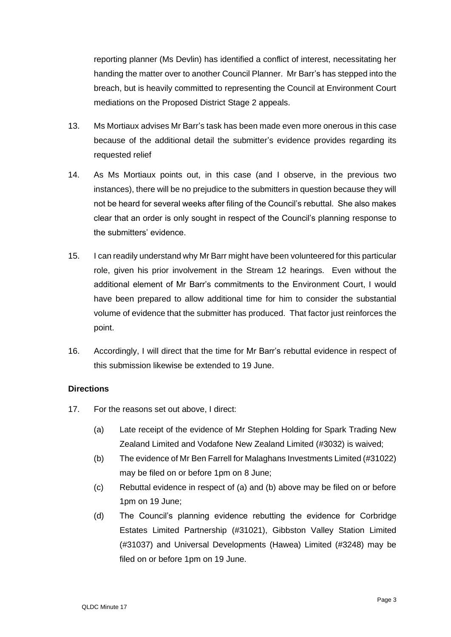reporting planner (Ms Devlin) has identified a conflict of interest, necessitating her handing the matter over to another Council Planner. Mr Barr's has stepped into the breach, but is heavily committed to representing the Council at Environment Court mediations on the Proposed District Stage 2 appeals.

- 13. Ms Mortiaux advises Mr Barr's task has been made even more onerous in this case because of the additional detail the submitter's evidence provides regarding its requested relief
- 14. As Ms Mortiaux points out, in this case (and I observe, in the previous two instances), there will be no prejudice to the submitters in question because they will not be heard for several weeks after filing of the Council's rebuttal. She also makes clear that an order is only sought in respect of the Council's planning response to the submitters' evidence.
- 15. I can readily understand why Mr Barr might have been volunteered for this particular role, given his prior involvement in the Stream 12 hearings. Even without the additional element of Mr Barr's commitments to the Environment Court, I would have been prepared to allow additional time for him to consider the substantial volume of evidence that the submitter has produced. That factor just reinforces the point.
- 16. Accordingly, I will direct that the time for Mr Barr's rebuttal evidence in respect of this submission likewise be extended to 19 June.

## **Directions**

- 17. For the reasons set out above, I direct:
	- (a) Late receipt of the evidence of Mr Stephen Holding for Spark Trading New Zealand Limited and Vodafone New Zealand Limited (#3032) is waived;
	- (b) The evidence of Mr Ben Farrell for Malaghans Investments Limited (#31022) may be filed on or before 1pm on 8 June;
	- (c) Rebuttal evidence in respect of (a) and (b) above may be filed on or before 1pm on 19 June;
	- (d) The Council's planning evidence rebutting the evidence for Corbridge Estates Limited Partnership (#31021), Gibbston Valley Station Limited (#31037) and Universal Developments (Hawea) Limited (#3248) may be filed on or before 1pm on 19 June.